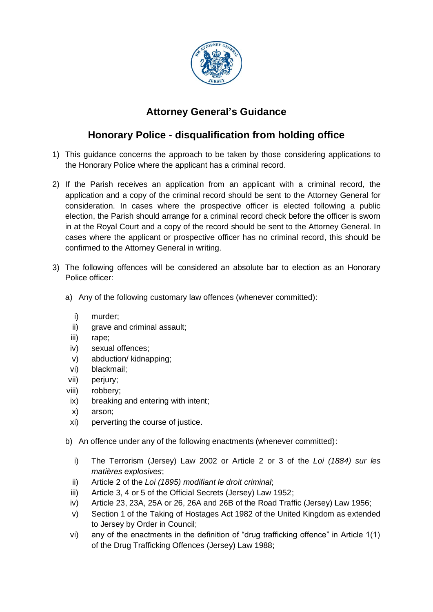

## **Attorney General's Guidance**

## **Honorary Police - disqualification from holding office**

- 1) This guidance concerns the approach to be taken by those considering applications to the Honorary Police where the applicant has a criminal record.
- 2) If the Parish receives an application from an applicant with a criminal record, the application and a copy of the criminal record should be sent to the Attorney General for consideration. In cases where the prospective officer is elected following a public election, the Parish should arrange for a criminal record check before the officer is sworn in at the Royal Court and a copy of the record should be sent to the Attorney General. In cases where the applicant or prospective officer has no criminal record, this should be confirmed to the Attorney General in writing.
- 3) The following offences will be considered an absolute bar to election as an Honorary Police officer:
	- a) Any of the following customary law offences (whenever committed):
		- i) murder;
		- ii) grave and criminal assault;
		- iii) rape;
		- iv) sexual offences;
		- v) abduction/ kidnapping;
		- vi) blackmail;
	- vii) perjury;
	- viii) robbery;
	- ix) breaking and entering with intent;
	- x) arson;
	- xi) perverting the course of justice.
	- b) An offence under any of the following enactments (whenever committed):
		- i) The Terrorism (Jersey) Law 2002 or Article 2 or 3 of the *Loi (1884) sur les matières explosives*;
		- ii) Article 2 of the *Loi (1895) modifiant le droit criminal*;
		- iii) Article 3, 4 or 5 of the Official Secrets (Jersey) Law 1952;
		- iv) Article 23, 23A, 25A or 26, 26A and 26B of the Road Traffic (Jersey) Law 1956;
		- v) Section 1 of the Taking of Hostages Act 1982 of the United Kingdom as extended to Jersey by Order in Council;
		- vi) any of the enactments in the definition of "drug trafficking offence" in Article 1(1) of the Drug Trafficking Offences (Jersey) Law 1988;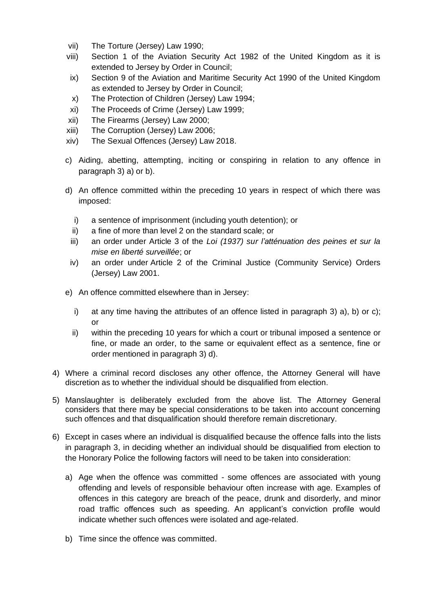- vii) The Torture (Jersey) Law 1990;
- viii) Section 1 of the Aviation Security Act 1982 of the United Kingdom as it is extended to Jersey by Order in Council;
- ix) Section 9 of the Aviation and Maritime Security Act 1990 of the United Kingdom as extended to Jersey by Order in Council;
- x) The Protection of Children (Jersey) Law 1994;
- xi) The Proceeds of Crime (Jersey) Law 1999;
- xii) The Firearms (Jersey) Law 2000;
- xiii) The Corruption (Jersey) Law 2006;
- xiv) The Sexual Offences (Jersey) Law 2018.
- c) Aiding, abetting, attempting, inciting or conspiring in relation to any offence in paragraph 3) a) or b).
- d) An offence committed within the preceding 10 years in respect of which there was imposed:
	- i) a sentence of imprisonment (including youth detention); or
	- ii) a fine of more than level 2 on the standard scale; or
	- iii) an order under Article 3 of the *Loi (1937) sur l'atténuation des peines et sur la mise en liberté surveillée*; or
	- iv) an order under Article 2 of the Criminal Justice (Community Service) Orders (Jersey) Law 2001.
- e) An offence committed elsewhere than in Jersey:
	- i) at any time having the attributes of an offence listed in paragraph 3) a), b) or c); or
	- ii) within the preceding 10 years for which a court or tribunal imposed a sentence or fine, or made an order, to the same or equivalent effect as a sentence, fine or order mentioned in paragraph 3) d).
- 4) Where a criminal record discloses any other offence, the Attorney General will have discretion as to whether the individual should be disqualified from election.
- 5) Manslaughter is deliberately excluded from the above list. The Attorney General considers that there may be special considerations to be taken into account concerning such offences and that disqualification should therefore remain discretionary.
- 6) Except in cases where an individual is disqualified because the offence falls into the lists in paragraph 3, in deciding whether an individual should be disqualified from election to the Honorary Police the following factors will need to be taken into consideration:
	- a) Age when the offence was committed some offences are associated with young offending and levels of responsible behaviour often increase with age. Examples of offences in this category are breach of the peace, drunk and disorderly, and minor road traffic offences such as speeding. An applicant's conviction profile would indicate whether such offences were isolated and age-related.
	- b) Time since the offence was committed.